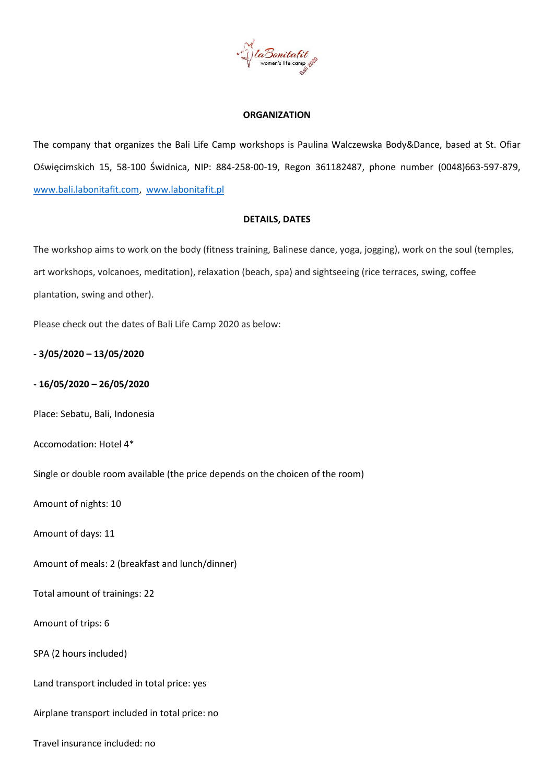

### **ORGANIZATION**

The company that organizes the Bali Life Camp workshops is Paulina Walczewska Body&Dance, based at St. Ofiar Oświęcimskich 15, 58-100 Świdnica, NIP: 884-258-00-19, Regon 361182487, phone number (0048)663-597-879, [www.bali.labonitafit.com,](http://www.bali.labonitafit.com/) [www.labonitafit.pl](http://www.labonitafit.pl/)

### **DETAILS, DATES**

The workshop aims to work on the body (fitness training, Balinese dance, yoga, jogging), work on the soul (temples, art workshops, volcanoes, meditation), relaxation (beach, spa) and sightseeing (rice terraces, swing, coffee plantation, swing and other).

Please check out the dates of Bali Life Camp 2020 as below:

**- 3/05/2020 – 13/05/2020**

# **- 16/05/2020 – 26/05/2020**

Place: Sebatu, Bali, Indonesia

Accomodation: Hotel 4\*

Single or double room available (the price depends on the choicen of the room)

Amount of nights: 10

Amount of days: 11

Amount of meals: 2 (breakfast and lunch/dinner)

Total amount of trainings: 22

Amount of trips: 6

SPA (2 hours included)

Land transport included in total price: yes

Airplane transport included in total price: no

Travel insurance included: no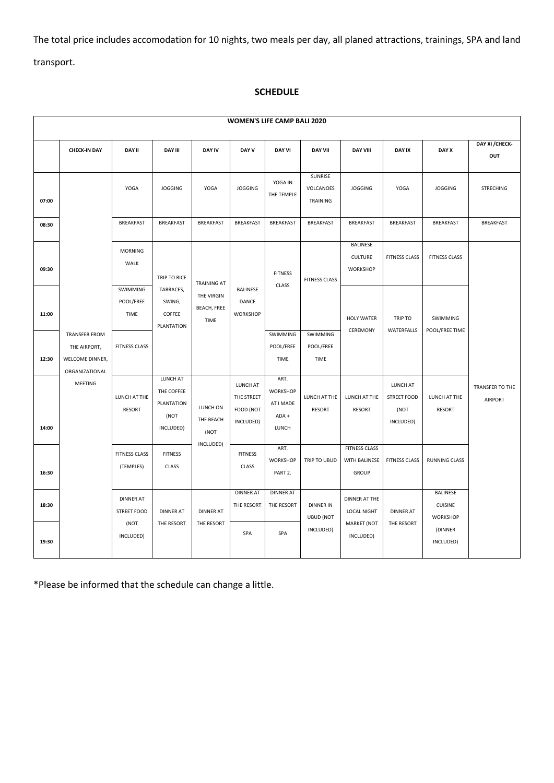The total price includes accomodation for 10 nights, two meals per day, all planed attractions, trainings, SPA and land transport.

# **SCHEDULE**

| <b>WOMEN'S LIFE CAMP BALI 2020</b> |                                                                           |                                                |                                                             |                                                                |                                                  |                                                        |                                      |                                                                  |                                                     |                                               |                                   |
|------------------------------------|---------------------------------------------------------------------------|------------------------------------------------|-------------------------------------------------------------|----------------------------------------------------------------|--------------------------------------------------|--------------------------------------------------------|--------------------------------------|------------------------------------------------------------------|-----------------------------------------------------|-----------------------------------------------|-----------------------------------|
|                                    | <b>CHECK-IN DAY</b>                                                       | <b>DAY II</b>                                  | <b>DAY III</b>                                              | <b>DAY IV</b>                                                  | DAY V                                            | <b>DAY VI</b>                                          | <b>DAY VII</b>                       | <b>DAY VIII</b>                                                  | <b>DAY IX</b>                                       | DAY X                                         | DAY XI / CHECK-<br>OUT            |
| 07:00                              |                                                                           | YOGA                                           | <b>JOGGING</b>                                              | YOGA                                                           | <b>JOGGING</b>                                   | YOGA IN<br>THE TEMPLE                                  | SUNRISE<br>VOLCANOES<br>TRAINING     | <b>JOGGING</b>                                                   | YOGA                                                | <b>JOGGING</b>                                | <b>STRECHING</b>                  |
| 08:30                              |                                                                           | <b>BREAKFAST</b>                               | <b>BREAKFAST</b>                                            | <b>BREAKFAST</b>                                               | <b>BREAKFAST</b>                                 | <b>BREAKFAST</b>                                       | <b>BREAKFAST</b>                     | <b>BREAKFAST</b>                                                 | BREAKFAST                                           | <b>BREAKFAST</b>                              | <b>BREAKFAST</b>                  |
| 09:30                              | <b>WALK</b><br><b>TIME</b>                                                | <b>MORNING</b>                                 | TRIP TO RICE<br>TARRACES,<br>SWING,<br>COFFEE<br>PLANTATION | <b>TRAINING AT</b><br>THE VIRGIN<br><b>BEACH, FREE</b><br>TIME | BALINESE<br>DANCE<br>WORKSHOP                    | <b>FITNESS</b><br>CLASS                                | <b>FITNESS CLASS</b>                 | BALINESE<br><b>CULTURE</b><br><b>WORKSHOP</b>                    | <b>FITNESS CLASS</b>                                | <b>FITNESS CLASS</b>                          |                                   |
| 11:00                              |                                                                           | SWIMMING<br>POOL/FREE                          |                                                             |                                                                |                                                  |                                                        |                                      | <b>HOLY WATER</b><br>CEREMONY                                    | TRIP TO<br>WATERFALLS                               | SWIMMING<br>POOL/FREE TIME                    |                                   |
| 12:30                              | <b>TRANSFER FROM</b><br>THE AIRPORT,<br>WELCOME DINNER,<br>ORGANIZATIONAL | <b>FITNESS CLASS</b>                           |                                                             |                                                                |                                                  | SWIMMING<br>POOL/FREE<br>TIME                          | SWIMMING<br>POOL/FREE<br>TIME        |                                                                  |                                                     |                                               |                                   |
| 14:00                              | MEETING                                                                   | LUNCH AT THE<br><b>RESORT</b>                  | LUNCH AT<br>THE COFFEE<br>PLANTATION<br>(NOT<br>INCLUDED)   | LUNCH ON<br>THE BEACH<br>(NOT<br>INCLUDED)                     | LUNCH AT<br>THE STREET<br>FOOD (NOT<br>INCLUDED) | ART.<br><b>WORKSHOP</b><br>AT I MADE<br>ADA +<br>LUNCH | LUNCH AT THE<br><b>RESORT</b>        | LUNCH AT THE<br><b>RESORT</b>                                    | LUNCH AT<br><b>STREET FOOD</b><br>(NOT<br>INCLUDED) | LUNCH AT THE<br><b>RESORT</b>                 | TRANSFER TO THE<br><b>AIRPORT</b> |
| 16:30                              |                                                                           | <b>FITNESS CLASS</b><br>(TEMPLES)              | <b>FITNESS</b><br>CLASS                                     |                                                                | <b>FITNESS</b><br>CLASS                          | ART.<br>WORKSHOP<br>PART 2.                            | TRIP TO UBUD                         | <b>FITNESS CLASS</b><br>WITH BALINESE<br>GROUP                   | <b>FITNESS CLASS</b>                                | <b>RUNNING CLASS</b>                          |                                   |
| 18:30                              |                                                                           | <b>DINNER AT</b><br><b>STREET FOOD</b><br>(NOT | <b>DINNER AT</b><br>THE RESORT                              | <b>DINNER AT</b><br>THE RESORT                                 | <b>DINNER AT</b><br>THE RESORT                   | <b>DINNER AT</b><br>THE RESORT                         | <b>DINNER IN</b><br><b>UBUD (NOT</b> | <b>DINNER AT THE</b><br><b>LOCAL NIGHT</b><br><b>MARKET (NOT</b> | <b>DINNER AT</b><br>THE RESORT                      | BALINESE<br><b>CUISINE</b><br><b>WORKSHOP</b> |                                   |
| 19:30                              |                                                                           | INCLUDED)                                      |                                                             |                                                                | SPA                                              | SPA                                                    | INCLUDED)                            | INCLUDED)                                                        |                                                     | (DINNER<br>INCLUDED)                          |                                   |

\*Please be informed that the schedule can change a little.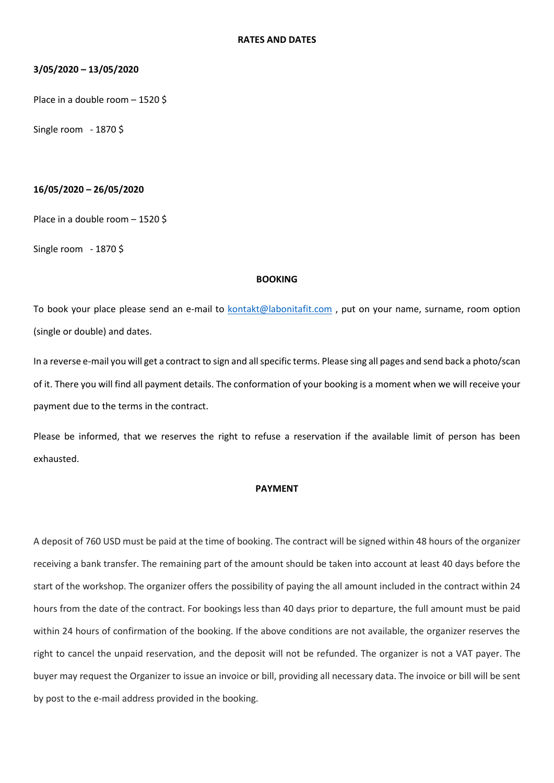### **3/05/2020 – 13/05/2020**

Place in a double room – 1520 \$

Single room - 1870 \$

## **16/05/2020 – 26/05/2020**

Place in a double room – 1520 \$

Single room - 1870 \$

#### **BOOKING**

To book your place please send an e-mail to **kontakt@labonitafit.com**, put on your name, surname, room option (single or double) and dates.

In a reverse e-mail you will get a contract to sign and all specific terms. Please sing all pages and send back a photo/scan of it. There you will find all payment details. The conformation of your booking is a moment when we will receive your payment due to the terms in the contract.

Please be informed, that we reserves the right to refuse a reservation if the available limit of person has been exhausted.

### **PAYMENT**

A deposit of 760 USD must be paid at the time of booking. The contract will be signed within 48 hours of the organizer receiving a bank transfer. The remaining part of the amount should be taken into account at least 40 days before the start of the workshop. The organizer offers the possibility of paying the all amount included in the contract within 24 hours from the date of the contract. For bookings less than 40 days prior to departure, the full amount must be paid within 24 hours of confirmation of the booking. If the above conditions are not available, the organizer reserves the right to cancel the unpaid reservation, and the deposit will not be refunded. The organizer is not a VAT payer. The buyer may request the Organizer to issue an invoice or bill, providing all necessary data. The invoice or bill will be sent by post to the e-mail address provided in the booking.